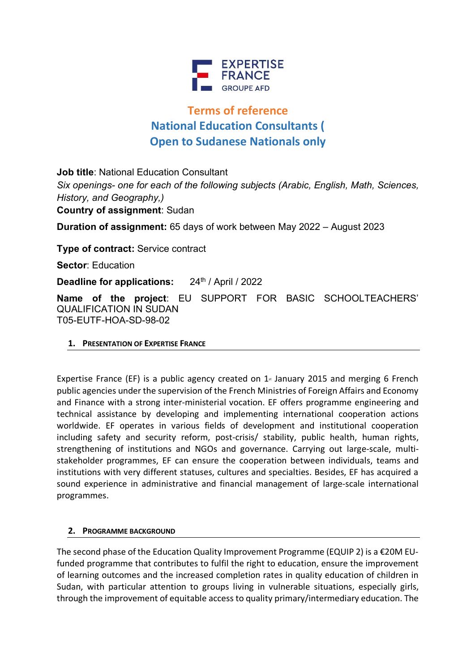

# **Terms of reference National Education Consultants ( Open to Sudanese Nationals only**

**Job title**: National Education Consultant *Six openings- one for each of the following subjects (Arabic, English, Math, Sciences, History, and Geography,)* **Country of assignment**: Sudan **Duration of assignment:** 65 days of work between May 2022 – August 2023 **Type of contract:** Service contract **Sector**: Education **Deadline for applications:** 24<sup>th</sup> / April / 2022 **Name of the project**: EU SUPPORT FOR BASIC SCHOOLTEACHERS' QUALIFICATION IN SUDAN T05-EUTF-HOA-SD-98-02

#### **1. PRESENTATION OF EXPERTISE FRANCE**

Expertise France (EF) is a public agency created on  $1<sup>s</sup>$  January 2015 and merging 6 French public agencies under the supervision of the French Ministries of Foreign Affairs and Economy and Finance with a strong inter-ministerial vocation. EF offers programme engineering and technical assistance by developing and implementing international cooperation actions worldwide. EF operates in various fields of development and institutional cooperation including safety and security reform, post-crisis/ stability, public health, human rights, strengthening of institutions and NGOs and governance. Carrying out large-scale, multistakeholder programmes, EF can ensure the cooperation between individuals, teams and institutions with very different statuses, cultures and specialties. Besides, EF has acquired a sound experience in administrative and financial management of large-scale international programmes.

#### **2. PROGRAMME BACKGROUND**

The second phase of the Education Quality Improvement Programme (EQUIP 2) is a €20M EUfunded programme that contributes to fulfil the right to education, ensure the improvement of learning outcomes and the increased completion rates in quality education of children in Sudan, with particular attention to groups living in vulnerable situations, especially girls, through the improvement of equitable access to quality primary/intermediary education. The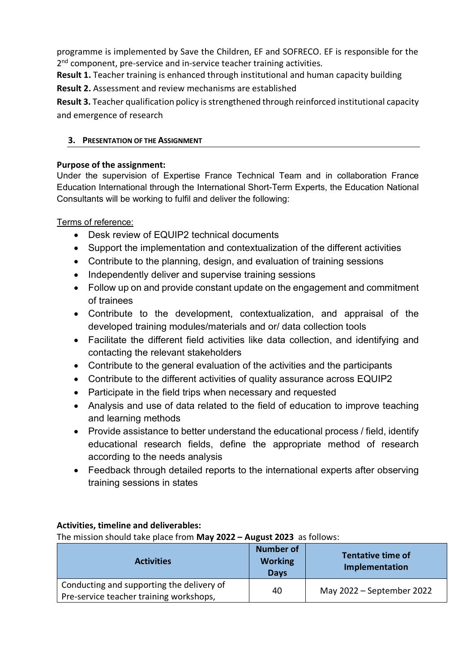programme is implemented by Save the Children, EF and SOFRECO. EF is responsible for the 2<sup>nd</sup> component, pre-service and in-service teacher training activities.

**Result 1.** Teacher training is enhanced through institutional and human capacity building **Result 2.** Assessment and review mechanisms are established

**Result 3.** Teacher qualification policy is strengthened through reinforced institutional capacity and emergence of research

## **3. PRESENTATION OF THE ASSIGNMENT**

### **Purpose of the assignment:**

Under the supervision of Expertise France Technical Team and in collaboration France Education International through the International Short-Term Experts, the Education National Consultants will be working to fulfil and deliver the following:

Terms of reference:

- Desk review of EQUIP2 technical documents
- Support the implementation and contextualization of the different activities
- Contribute to the planning, design, and evaluation of training sessions
- Independently deliver and supervise training sessions
- Follow up on and provide constant update on the engagement and commitment of trainees
- Contribute to the development, contextualization, and appraisal of the developed training modules/materials and or/ data collection tools
- Facilitate the different field activities like data collection, and identifying and contacting the relevant stakeholders
- Contribute to the general evaluation of the activities and the participants
- Contribute to the different activities of quality assurance across EQUIP2
- Participate in the field trips when necessary and requested
- Analysis and use of data related to the field of education to improve teaching and learning methods
- Provide assistance to better understand the educational process / field, identify educational research fields, define the appropriate method of research according to the needs analysis
- Feedback through detailed reports to the international experts after observing training sessions in states

#### **Activities, timeline and deliverables:**

The mission should take place from **May 2022 – August 2023** as follows:

| <b>Activities</b>                                                                    | <b>Number of</b><br><b>Working</b><br>Days | <b>Tentative time of</b><br>Implementation |
|--------------------------------------------------------------------------------------|--------------------------------------------|--------------------------------------------|
| Conducting and supporting the delivery of<br>Pre-service teacher training workshops, | 40                                         | May 2022 – September 2022                  |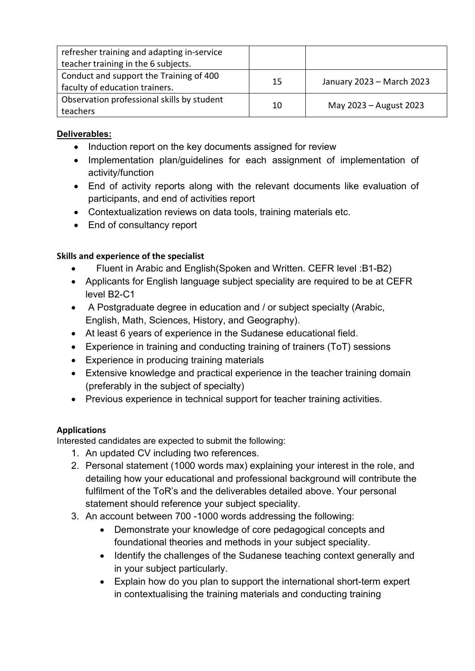| refresher training and adapting in-service |    |                           |
|--------------------------------------------|----|---------------------------|
| teacher training in the 6 subjects.        |    |                           |
| Conduct and support the Training of 400    | 15 | January 2023 - March 2023 |
| faculty of education trainers.             |    |                           |
| Observation professional skills by student | 10 | May 2023 - August 2023    |
| teachers                                   |    |                           |

# **Deliverables:**

- Induction report on the key documents assigned for review
- Implementation plan/guidelines for each assignment of implementation of activity/function
- End of activity reports along with the relevant documents like evaluation of participants, and end of activities report
- Contextualization reviews on data tools, training materials etc.
- End of consultancy report

# **Skills and experience of the specialist**

- Fluent in Arabic and English(Spoken and Written. CEFR level :B1-B2)
- Applicants for English language subject speciality are required to be at CEFR level B2-C1
- A Postgraduate degree in education and / or subject specialty (Arabic, English, Math, Sciences, History, and Geography).
- At least 6 years of experience in the Sudanese educational field.
- Experience in training and conducting training of trainers (ToT) sessions
- Experience in producing training materials
- Extensive knowledge and practical experience in the teacher training domain (preferably in the subject of specialty)
- Previous experience in technical support for teacher training activities.

# **Applications**

Interested candidates are expected to submit the following:

- 1. An updated CV including two references.
- 2. Personal statement (1000 words max) explaining your interest in the role, and detailing how your educational and professional background will contribute the fulfilment of the ToR's and the deliverables detailed above. Your personal statement should reference your subject speciality.
- 3. An account between 700 -1000 words addressing the following:
	- Demonstrate your knowledge of core pedagogical concepts and foundational theories and methods in your subject speciality.
	- Identify the challenges of the Sudanese teaching context generally and in your subject particularly.
	- Explain how do you plan to support the international short-term expert in contextualising the training materials and conducting training